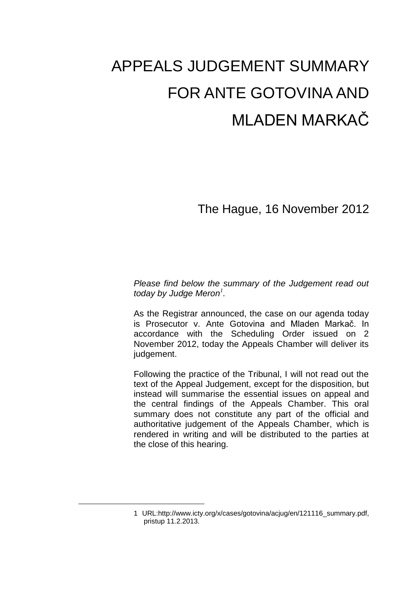# APPEALS JUDGEMENT SUMMARY FOR ANTE GOTOVINA AND MLADEN MARKAČ

The Hague, 16 November 2012

*Please find below the summary of the Judgement read out today by Judge Meron<sup>1</sup> .*

As the Registrar announced, the case on our agenda today is Prosecutor v. Ante Gotovina and Mladen Markač. In accordance with the Scheduling Order issued on 2 November 2012, today the Appeals Chamber will deliver its judgement.

Following the practice of the Tribunal, I will not read out the text of the Appeal Judgement, except for the disposition, but instead will summarise the essential issues on appeal and the central findings of the Appeals Chamber. This oral summary does not constitute any part of the official and authoritative judgement of the Appeals Chamber, which is rendered in writing and will be distributed to the parties at the close of this hearing.

<u>—</u>

<sup>1</sup> URL[:http://www.icty.org/x/cases/gotovina/acjug/en/121116\\_summary.pdf,](http://www.icty.org/x/cases/gotovina/acjug/en/121116_summary.pdf) pristup 11.2.2013.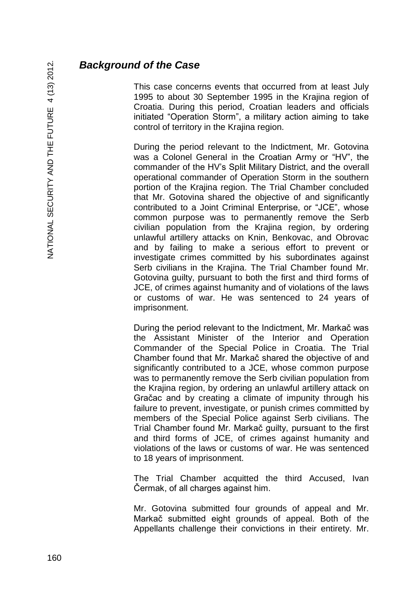## *Background of the Case*

This case concerns events that occurred from at least July 1995 to about 30 September 1995 in the Krajina region of Croatia. During this period, Croatian leaders and officials initiated "Operation Storm", a military action aiming to take control of territory in the Krajina region.

During the period relevant to the Indictment, Mr. Gotovina was a Colonel General in the Croatian Army or "HV", the commander of the HV's Split Military District, and the overall operational commander of Operation Storm in the southern portion of the Krajina region. The Trial Chamber concluded that Mr. Gotovina shared the objective of and significantly contributed to a Joint Criminal Enterprise, or "JCE", whose common purpose was to permanently remove the Serb civilian population from the Krajina region, by ordering unlawful artillery attacks on Knin, Benkovac, and Obrovac and by failing to make a serious effort to prevent or investigate crimes committed by his subordinates against Serb civilians in the Krajina. The Trial Chamber found Mr. Gotovina guilty, pursuant to both the first and third forms of JCE, of crimes against humanity and of violations of the laws or customs of war. He was sentenced to 24 years of imprisonment.

During the period relevant to the Indictment, Mr. Markač was the Assistant Minister of the Interior and Operation Commander of the Special Police in Croatia. The Trial Chamber found that Mr. Markač shared the objective of and significantly contributed to a JCE, whose common purpose was to permanently remove the Serb civilian population from the Krajina region, by ordering an unlawful artillery attack on Gračac and by creating a climate of impunity through his failure to prevent, investigate, or punish crimes committed by members of the Special Police against Serb civilians. The Trial Chamber found Mr. Markač guilty, pursuant to the first and third forms of JCE, of crimes against humanity and violations of the laws or customs of war. He was sentenced to 18 years of imprisonment.

The Trial Chamber acquitted the third Accused, Ivan Čermak, of all charges against him.

Mr. Gotovina submitted four grounds of appeal and Mr. Markač submitted eight grounds of appeal. Both of the Appellants challenge their convictions in their entirety. Mr.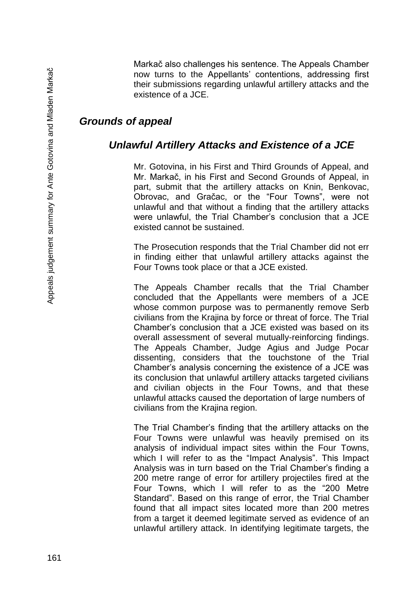Markač also challenges his sentence. The Appeals Chamber now turns to the Appellants' contentions, addressing first their submissions regarding unlawful artillery attacks and the existence of a JCE.

# MLADEN MARKAČ *Grounds of appeal*

#### *Unlawful Artillery Attacks and Existence of a JCE*

Mr. Gotovina, in his First and Third Grounds of Appeal, and Mr. Markač, in his First and Second Grounds of Appeal, in part, submit that the artillery attacks on Knin, Benkovac, Obrovac, and Gračac, or the "Four Towns", were not unlawful and that without a finding that the artillery attacks were unlawful, the Trial Chamber's conclusion that a JCE existed cannot be sustained.

The Prosecution responds that the Trial Chamber did not err in finding either that unlawful artillery attacks against the Four Towns took place or that a JCE existed.

The Appeals Chamber recalls that the Trial Chamber concluded that the Appellants were members of a JCE whose common purpose was to permanently remove Serb civilians from the Krajina by force or threat of force. The Trial Chamber's conclusion that a JCE existed was based on its overall assessment of several mutually-reinforcing findings. The Appeals Chamber, Judge Agius and Judge Pocar dissenting, considers that the touchstone of the Trial Chamber's analysis concerning the existence of a JCE was its conclusion that unlawful artillery attacks targeted civilians and civilian objects in the Four Towns, and that these unlawful attacks caused the deportation of large numbers of civilians from the Krajina region.

The Trial Chamber's finding that the artillery attacks on the Four Towns were unlawful was heavily premised on its analysis of individual impact sites within the Four Towns, which I will refer to as the "Impact Analysis". This Impact Analysis was in turn based on the Trial Chamber's finding a 200 metre range of error for artillery projectiles fired at the Four Towns, which I will refer to as the "200 Metre Standard". Based on this range of error, the Trial Chamber found that all impact sites located more than 200 metres from a target it deemed legitimate served as evidence of an unlawful artillery attack. In identifying legitimate targets, the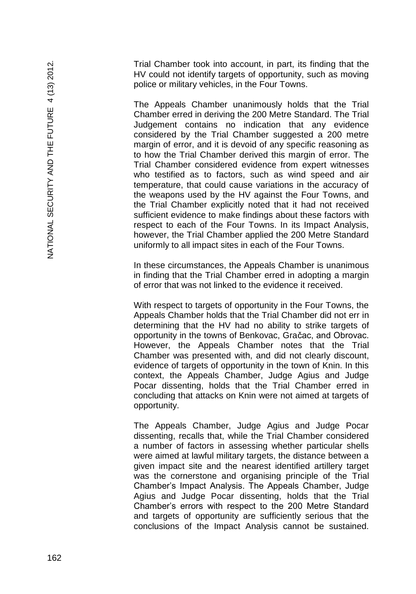Trial Chamber took into account, in part, its finding that the HV could not identify targets of opportunity, such as moving police or military vehicles, in the Four Towns.

The Appeals Chamber unanimously holds that the Trial Chamber erred in deriving the 200 Metre Standard. The Trial Judgement contains no indication that any evidence considered by the Trial Chamber suggested a 200 metre margin of error, and it is devoid of any specific reasoning as to how the Trial Chamber derived this margin of error. The Trial Chamber considered evidence from expert witnesses who testified as to factors, such as wind speed and air temperature, that could cause variations in the accuracy of the weapons used by the HV against the Four Towns, and the Trial Chamber explicitly noted that it had not received sufficient evidence to make findings about these factors with respect to each of the Four Towns. In its Impact Analysis, however, the Trial Chamber applied the 200 Metre Standard uniformly to all impact sites in each of the Four Towns.

In these circumstances, the Appeals Chamber is unanimous in finding that the Trial Chamber erred in adopting a margin of error that was not linked to the evidence it received.

With respect to targets of opportunity in the Four Towns, the Appeals Chamber holds that the Trial Chamber did not err in determining that the HV had no ability to strike targets of opportunity in the towns of Benkovac, Gračac, and Obrovac. However, the Appeals Chamber notes that the Trial Chamber was presented with, and did not clearly discount, evidence of targets of opportunity in the town of Knin. In this context, the Appeals Chamber, Judge Agius and Judge Pocar dissenting, holds that the Trial Chamber erred in concluding that attacks on Knin were not aimed at targets of opportunity.

The Appeals Chamber, Judge Agius and Judge Pocar dissenting, recalls that, while the Trial Chamber considered a number of factors in assessing whether particular shells were aimed at lawful military targets, the distance between a given impact site and the nearest identified artillery target was the cornerstone and organising principle of the Trial Chamber's Impact Analysis. The Appeals Chamber, Judge Agius and Judge Pocar dissenting, holds that the Trial Chamber's errors with respect to the 200 Metre Standard and targets of opportunity are sufficiently serious that the conclusions of the Impact Analysis cannot be sustained.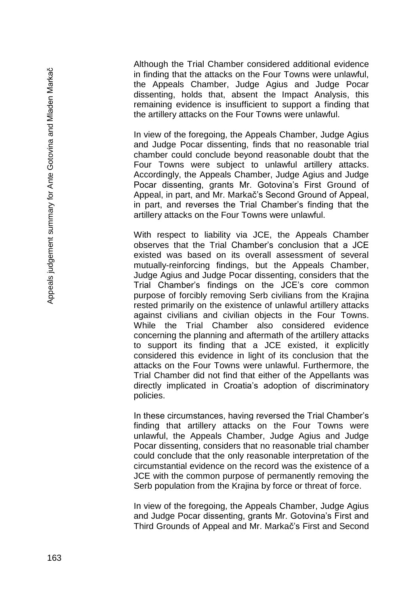Although the Trial Chamber considered additional evidence in finding that the attacks on the Four Towns were unlawful, the Appeals Chamber, Judge Agius and Judge Pocar dissenting, holds that, absent the Impact Analysis, this remaining evidence is insufficient to support a finding that the artillery attacks on the Four Towns were unlawful.

In view of the foregoing, the Appeals Chamber, Judge Agius and Judge Pocar dissenting, finds that no reasonable trial chamber could conclude beyond reasonable doubt that the Four Towns were subject to unlawful artillery attacks. Accordingly, the Appeals Chamber, Judge Agius and Judge Pocar dissenting, grants Mr. Gotovina's First Ground of Appeal, in part, and Mr. Markač's Second Ground of Appeal, in part, and reverses the Trial Chamber's finding that the artillery attacks on the Four Towns were unlawful.

With respect to liability via JCE, the Appeals Chamber observes that the Trial Chamber's conclusion that a JCE existed was based on its overall assessment of several mutually-reinforcing findings, but the Appeals Chamber, Judge Agius and Judge Pocar dissenting, considers that the Trial Chamber's findings on the JCE's core common purpose of forcibly removing Serb civilians from the Krajina rested primarily on the existence of unlawful artillery attacks against civilians and civilian objects in the Four Towns. While the Trial Chamber also considered evidence concerning the planning and aftermath of the artillery attacks to support its finding that a JCE existed, it explicitly considered this evidence in light of its conclusion that the attacks on the Four Towns were unlawful. Furthermore, the Trial Chamber did not find that either of the Appellants was directly implicated in Croatia's adoption of discriminatory policies.

In these circumstances, having reversed the Trial Chamber's finding that artillery attacks on the Four Towns were unlawful, the Appeals Chamber, Judge Agius and Judge Pocar dissenting, considers that no reasonable trial chamber could conclude that the only reasonable interpretation of the circumstantial evidence on the record was the existence of a JCE with the common purpose of permanently removing the Serb population from the Krajina by force or threat of force.

In view of the foregoing, the Appeals Chamber, Judge Agius and Judge Pocar dissenting, grants Mr. Gotovina's First and Third Grounds of Appeal and Mr. Markač's First and Second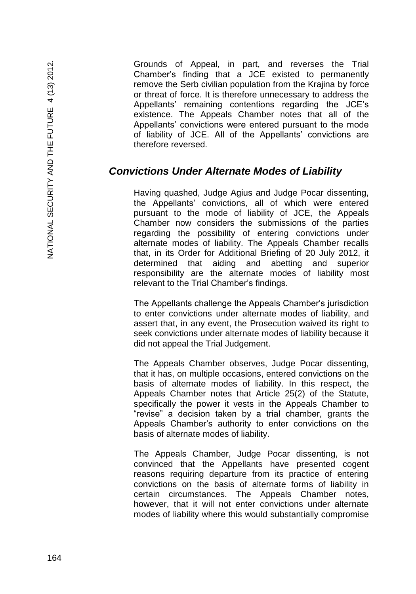Grounds of Appeal, in part, and reverses the Trial Chamber's finding that a JCE existed to permanently remove the Serb civilian population from the Krajina by force or threat of force. It is therefore unnecessary to address the Appellants' remaining contentions regarding the JCE's existence. The Appeals Chamber notes that all of the Appellants' convictions were entered pursuant to the mode of liability of JCE. All of the Appellants' convictions are therefore reversed.

#### *Convictions Under Alternate Modes of Liability*

Having quashed, Judge Agius and Judge Pocar dissenting, the Appellants' convictions, all of which were entered pursuant to the mode of liability of JCE, the Appeals Chamber now considers the submissions of the parties regarding the possibility of entering convictions under alternate modes of liability. The Appeals Chamber recalls that, in its Order for Additional Briefing of 20 July 2012, it determined that aiding and abetting and superior responsibility are the alternate modes of liability most relevant to the Trial Chamber's findings.

The Appellants challenge the Appeals Chamber's jurisdiction to enter convictions under alternate modes of liability, and assert that, in any event, the Prosecution waived its right to seek convictions under alternate modes of liability because it did not appeal the Trial Judgement.

The Appeals Chamber observes, Judge Pocar dissenting, that it has, on multiple occasions, entered convictions on the basis of alternate modes of liability. In this respect, the Appeals Chamber notes that Article 25(2) of the Statute, specifically the power it vests in the Appeals Chamber to "revise" a decision taken by a trial chamber, grants the Appeals Chamber's authority to enter convictions on the basis of alternate modes of liability.

The Appeals Chamber, Judge Pocar dissenting, is not convinced that the Appellants have presented cogent reasons requiring departure from its practice of entering convictions on the basis of alternate forms of liability in certain circumstances. The Appeals Chamber notes, however, that it will not enter convictions under alternate modes of liability where this would substantially compromise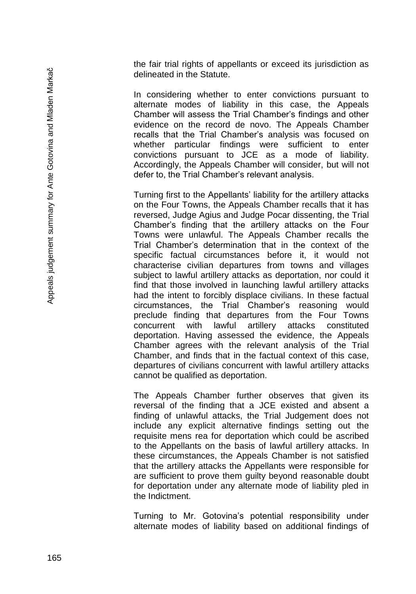the fair trial rights of appellants or exceed its jurisdiction as delineated in the Statute.

In considering whether to enter convictions pursuant to alternate modes of liability in this case, the Appeals Chamber will assess the Trial Chamber's findings and other evidence on the record de novo. The Appeals Chamber recalls that the Trial Chamber's analysis was focused on whether particular findings were sufficient to enter convictions pursuant to JCE as a mode of liability. Accordingly, the Appeals Chamber will consider, but will not defer to, the Trial Chamber's relevant analysis.

Turning first to the Appellants' liability for the artillery attacks on the Four Towns, the Appeals Chamber recalls that it has reversed, Judge Agius and Judge Pocar dissenting, the Trial Chamber's finding that the artillery attacks on the Four Towns were unlawful. The Appeals Chamber recalls the Trial Chamber's determination that in the context of the specific factual circumstances before it, it would not characterise civilian departures from towns and villages subject to lawful artillery attacks as deportation, nor could it find that those involved in launching lawful artillery attacks had the intent to forcibly displace civilians. In these factual circumstances, the Trial Chamber's reasoning would preclude finding that departures from the Four Towns concurrent with lawful artillery attacks constituted deportation. Having assessed the evidence, the Appeals Chamber agrees with the relevant analysis of the Trial Chamber, and finds that in the factual context of this case, departures of civilians concurrent with lawful artillery attacks cannot be qualified as deportation.

The Appeals Chamber further observes that given its reversal of the finding that a JCE existed and absent a finding of unlawful attacks, the Trial Judgement does not include any explicit alternative findings setting out the requisite mens rea for deportation which could be ascribed to the Appellants on the basis of lawful artillery attacks. In these circumstances, the Appeals Chamber is not satisfied that the artillery attacks the Appellants were responsible for are sufficient to prove them guilty beyond reasonable doubt for deportation under any alternate mode of liability pled in the Indictment.

Turning to Mr. Gotovina's potential responsibility under alternate modes of liability based on additional findings of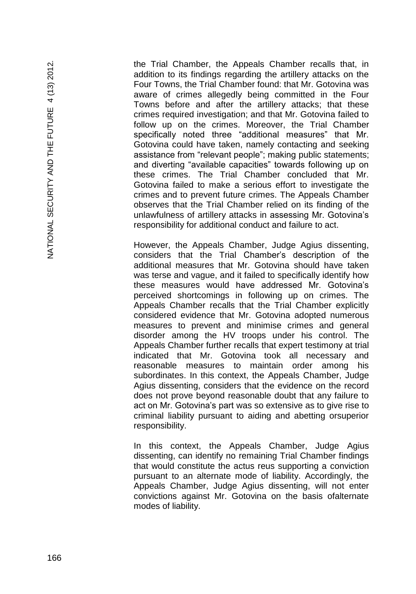the Trial Chamber, the Appeals Chamber recalls that, in addition to its findings regarding the artillery attacks on the Four Towns, the Trial Chamber found: that Mr. Gotovina was aware of crimes allegedly being committed in the Four Towns before and after the artillery attacks; that these crimes required investigation; and that Mr. Gotovina failed to follow up on the crimes. Moreover, the Trial Chamber specifically noted three "additional measures" that Mr. Gotovina could have taken, namely contacting and seeking assistance from "relevant people"; making public statements; and diverting "available capacities" towards following up on these crimes. The Trial Chamber concluded that Mr. Gotovina failed to make a serious effort to investigate the crimes and to prevent future crimes. The Appeals Chamber observes that the Trial Chamber relied on its finding of the unlawfulness of artillery attacks in assessing Mr. Gotovina's responsibility for additional conduct and failure to act.

However, the Appeals Chamber, Judge Agius dissenting, considers that the Trial Chamber's description of the additional measures that Mr. Gotovina should have taken was terse and vague, and it failed to specifically identify how these measures would have addressed Mr. Gotovina's perceived shortcomings in following up on crimes. The Appeals Chamber recalls that the Trial Chamber explicitly considered evidence that Mr. Gotovina adopted numerous measures to prevent and minimise crimes and general disorder among the HV troops under his control. The Appeals Chamber further recalls that expert testimony at trial indicated that Mr. Gotovina took all necessary and reasonable measures to maintain order among his subordinates. In this context, the Appeals Chamber, Judge Agius dissenting, considers that the evidence on the record does not prove beyond reasonable doubt that any failure to act on Mr. Gotovina's part was so extensive as to give rise to criminal liability pursuant to aiding and abetting orsuperior responsibility.

In this context, the Appeals Chamber, Judge Agius dissenting, can identify no remaining Trial Chamber findings that would constitute the actus reus supporting a conviction pursuant to an alternate mode of liability. Accordingly, the Appeals Chamber, Judge Agius dissenting, will not enter convictions against Mr. Gotovina on the basis ofalternate modes of liability.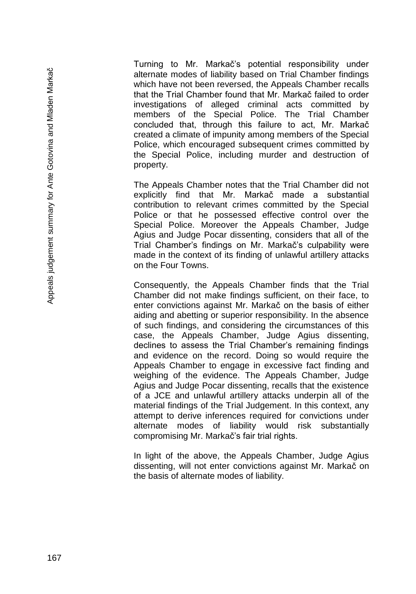Turning to Mr. Markač's potential responsibility under alternate modes of liability based on Trial Chamber findings which have not been reversed, the Appeals Chamber recalls that the Trial Chamber found that Mr. Markač failed to order investigations of alleged criminal acts committed by members of the Special Police. The Trial Chamber concluded that, through this failure to act, Mr. Markač created a climate of impunity among members of the Special Police, which encouraged subsequent crimes committed by the Special Police, including murder and destruction of property.

The Appeals Chamber notes that the Trial Chamber did not explicitly find that Mr. Markač made a substantial contribution to relevant crimes committed by the Special Police or that he possessed effective control over the Special Police. Moreover the Appeals Chamber, Judge Agius and Judge Pocar dissenting, considers that all of the Trial Chamber's findings on Mr. Markač's culpability were made in the context of its finding of unlawful artillery attacks on the Four Towns.

Consequently, the Appeals Chamber finds that the Trial Chamber did not make findings sufficient, on their face, to enter convictions against Mr. Markač on the basis of either aiding and abetting or superior responsibility. In the absence of such findings, and considering the circumstances of this case, the Appeals Chamber, Judge Agius dissenting, declines to assess the Trial Chamber's remaining findings and evidence on the record. Doing so would require the Appeals Chamber to engage in excessive fact finding and weighing of the evidence. The Appeals Chamber, Judge Agius and Judge Pocar dissenting, recalls that the existence of a JCE and unlawful artillery attacks underpin all of the material findings of the Trial Judgement. In this context, any attempt to derive inferences required for convictions under alternate modes of liability would risk substantially compromising Mr. Markač's fair trial rights.

In light of the above, the Appeals Chamber, Judge Agius dissenting, will not enter convictions against Mr. Markač on the basis of alternate modes of liability.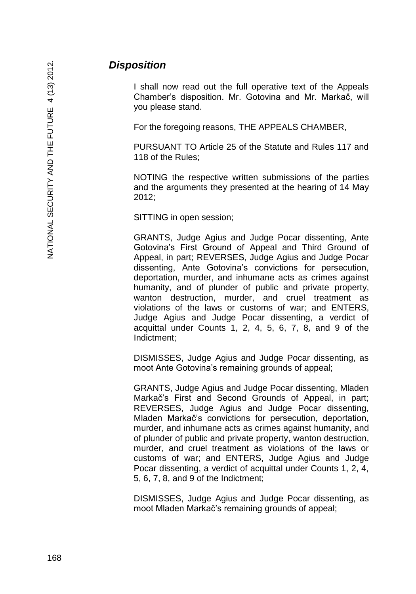### *Disposition*

I shall now read out the full operative text of the Appeals Chamber's disposition. Mr. Gotovina and Mr. Markač, will you please stand.

For the foregoing reasons, THE APPEALS CHAMBER,

PURSUANT TO Article 25 of the Statute and Rules 117 and 118 of the Rules;

NOTING the respective written submissions of the parties and the arguments they presented at the hearing of 14 May 2012;

SITTING in open session;

GRANTS, Judge Agius and Judge Pocar dissenting, Ante Gotovina's First Ground of Appeal and Third Ground of Appeal, in part; REVERSES, Judge Agius and Judge Pocar dissenting, Ante Gotovina's convictions for persecution, deportation, murder, and inhumane acts as crimes against humanity, and of plunder of public and private property, wanton destruction, murder, and cruel treatment as violations of the laws or customs of war; and ENTERS, Judge Agius and Judge Pocar dissenting, a verdict of acquittal under Counts 1, 2, 4, 5, 6, 7, 8, and 9 of the Indictment;

DISMISSES, Judge Agius and Judge Pocar dissenting, as moot Ante Gotovina's remaining grounds of appeal;

GRANTS, Judge Agius and Judge Pocar dissenting, Mladen Markač's First and Second Grounds of Appeal, in part; REVERSES, Judge Agius and Judge Pocar dissenting, Mladen Markač's convictions for persecution, deportation, murder, and inhumane acts as crimes against humanity, and of plunder of public and private property, wanton destruction, murder, and cruel treatment as violations of the laws or customs of war; and ENTERS, Judge Agius and Judge Pocar dissenting, a verdict of acquittal under Counts 1, 2, 4, 5, 6, 7, 8, and 9 of the Indictment;

DISMISSES, Judge Agius and Judge Pocar dissenting, as moot Mladen Markač's remaining grounds of appeal;